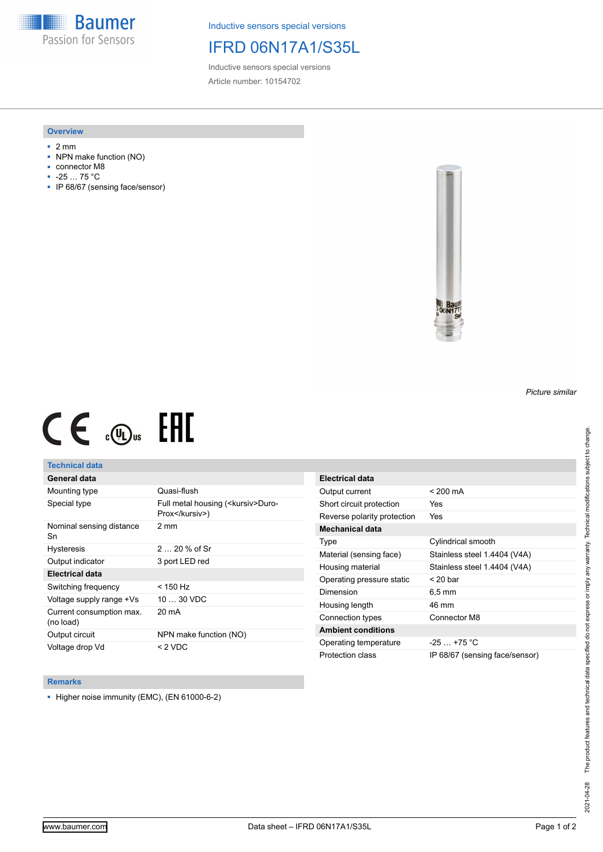**Baumer** Passion for Sensors

Inductive sensors special versions

# IFRD 06N17A1/S35L

Inductive sensors special versions Article number: 10154702

### **Overview**

- 2 mm
- NPN make function (NO)
- connector M8
- -25 … 75 °C
- IP 68/67 (sensing face/sensor)



# $CE \mathcal{L}$  ( $\mathcal{L}$  and  $SE$

## **Technical data**

## **General data**

| Mounting type                         | Quasi-flush                                            |
|---------------------------------------|--------------------------------------------------------|
| Special type                          | Full metal housing ( <kursiv>Duro-<br/>Prox</kursiv> ) |
| Nominal sensing distance<br>Sn        | $2 \text{ mm}$                                         |
| <b>Hysteresis</b>                     | $220%$ of Sr                                           |
| Output indicator                      | 3 port LED red                                         |
| <b>Electrical data</b>                |                                                        |
| Switching frequency                   | < 150 Hz                                               |
| Voltage supply range +Vs              | $1030$ VDC                                             |
| Current consumption max.<br>(no load) | 20 mA                                                  |
| Output circuit                        | NPN make function (NO)                                 |
| Voltage drop Vd                       | < 2 VDC                                                |

| <b>Electrical data</b>      |                                |
|-----------------------------|--------------------------------|
| Output current              | $< 200 \text{ mA}$             |
| Short circuit protection    | Yes                            |
| Reverse polarity protection | Yes                            |
| Mechanical data             |                                |
| Type                        | Cylindrical smooth             |
| Material (sensing face)     | Stainless steel 1.4404 (V4A)   |
| Housing material            | Stainless steel 1.4404 (V4A)   |
| Operating pressure static   | $<$ 20 bar                     |
| Dimension                   | $6.5 \,\mathrm{mm}$            |
| Housing length              | 46 mm                          |
| Connection types            | Connector M8                   |
| <b>Ambient conditions</b>   |                                |
| Operating temperature       | $-25 - +75$ °C                 |
| Protection class            | IP 68/67 (sensing face/sensor) |

#### **Remarks**

■ Higher noise immunity (EMC), (EN 61000-6-2)

*Picture similar*